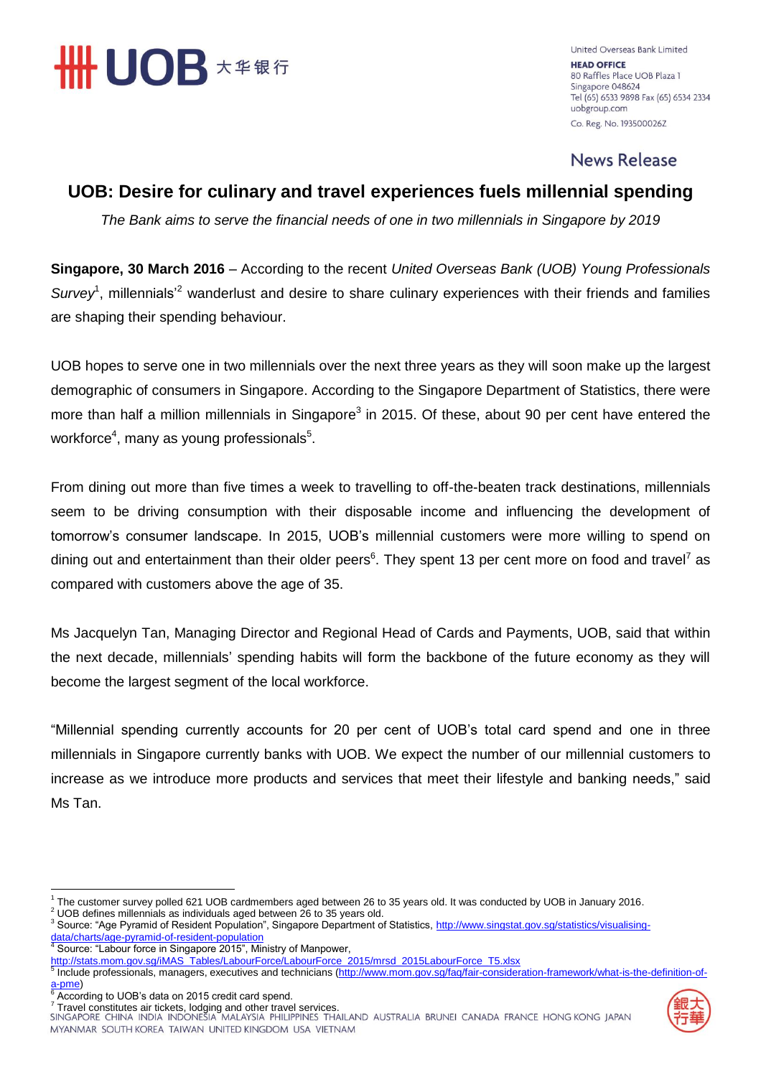

United Overseas Bank Limited **HEAD OFFICE** 80 Raffles Place UOB Plaza 1 Singapore 048624 Tel (65) 6533 9898 Fax (65) 6534 2334 uobgroup.com Co. Reg. No. 193500026Z

## **News Release**

# **UOB: Desire for culinary and travel experiences fuels millennial spending**

*The Bank aims to serve the financial needs of one in two millennials in Singapore by 2019*

**Singapore, 30 March 2016** – According to the recent *United Overseas Bank (UOB) Young Professionals*  Survey<sup>1</sup>, millennials<sup>2</sup> wanderlust and desire to share culinary experiences with their friends and families are shaping their spending behaviour.

UOB hopes to serve one in two millennials over the next three years as they will soon make up the largest demographic of consumers in Singapore. According to the Singapore Department of Statistics, there were more than half a million millennials in Singapore<sup>3</sup> in 2015. Of these, about 90 per cent have entered the workforce<sup>4</sup>, many as young professionals<sup>5</sup>.

From dining out more than five times a week to travelling to off-the-beaten track destinations, millennials seem to be driving consumption with their disposable income and influencing the development of tomorrow's consumer landscape. In 2015, UOB's millennial customers were more willing to spend on dining out and entertainment than their older peers<sup>6</sup>. They spent 13 per cent more on food and travel<sup>7</sup> as compared with customers above the age of 35.

Ms Jacquelyn Tan, Managing Director and Regional Head of Cards and Payments, UOB, said that within the next decade, millennials' spending habits will form the backbone of the future economy as they will become the largest segment of the local workforce.

"Millennial spending currently accounts for 20 per cent of UOB's total card spend and one in three millennials in Singapore currently banks with UOB. We expect the number of our millennial customers to increase as we introduce more products and services that meet their lifestyle and banking needs," said Ms Tan.

 $2$  UOB defines millennials as individuals aged between 26 to 35 years old.

<sup>4</sup> Source: "Labour force in Singapore 2015", Ministry of Manpower,

 $\overline{a}$ 

 $7$  Travel constitutes air tickets, lodging and other travel services. MYANMAR SOUTH KOREA TAIWAN UNITED KINGDOM USA VIETNAM



<sup>&</sup>lt;sup>1</sup> The customer survey polled 621 UOB cardmembers aged between 26 to 35 years old. It was conducted by UOB in January 2016.

Source: "Age Pyramid of Resident Population", Singapore Department of Statistics, [http://www.singstat.gov.sg/statistics/visualising](http://www.singstat.gov.sg/statistics/visualising-data/charts/age-pyramid-of-resident-population)[data/charts/age-pyramid-of-resident-population](http://www.singstat.gov.sg/statistics/visualising-data/charts/age-pyramid-of-resident-population)

[http://stats.mom.gov.sg/iMAS\\_Tables/LabourForce/LabourForce\\_2015/mrsd\\_2015LabourForce\\_T5.xlsx](http://stats.mom.gov.sg/iMAS_Tables/LabourForce/LabourForce_2015/mrsd_2015LabourForce_T5.xlsx)<br>5 lookide prefeccionals, managers, executives and technicians (http://www.mom.gov.sg/foe/foir.gongidex

Include professionals, managers, executives and technicians [\(http://www.mom.gov.sg/faq/fair-consideration-framework/what-is-the-definition-of-](http://www.mom.gov.sg/faq/fair-consideration-framework/what-is-the-definition-of-a-pme) $\frac{a-pme}{6}$ 

<sup>6</sup> According to UOB's data on 2015 credit card spend.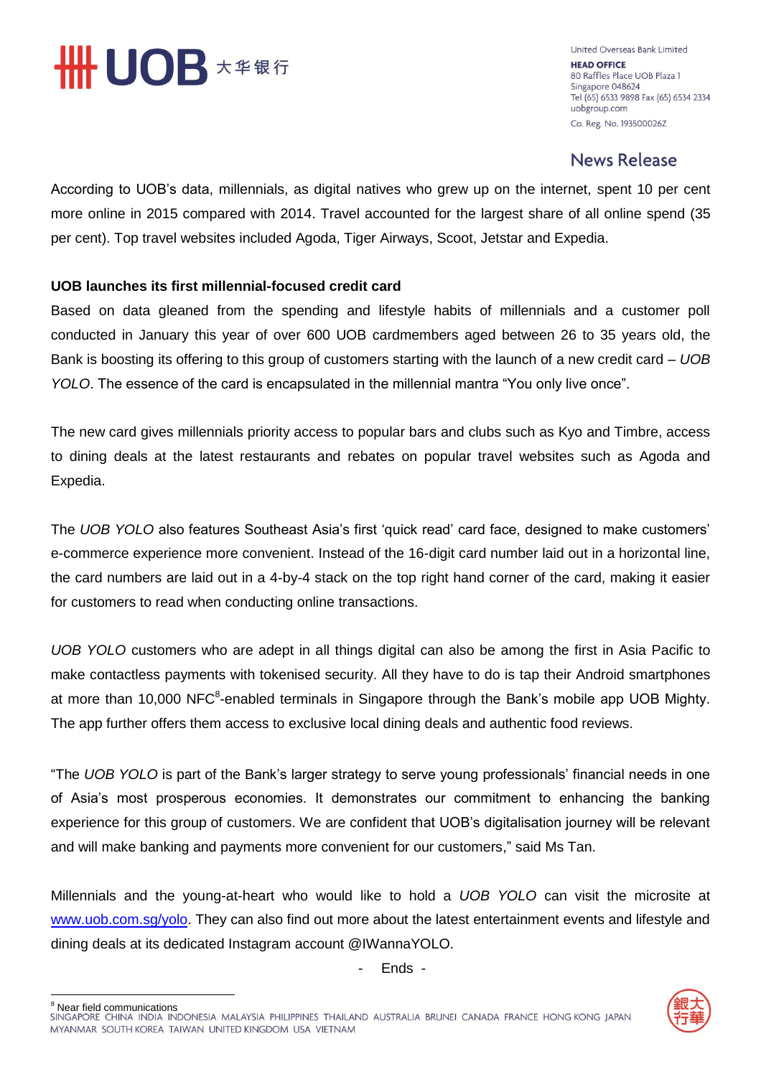

United Overseas Bank Limited **HEAD OFFICE** 80 Raffles Place UOB Plaza 1 Singapore 048624 Tel (65) 6533 9898 Fax (65) 6534 2334 uobgroup.com Co. Reg. No. 193500026Z

## **News Release**

According to UOB's data, millennials, as digital natives who grew up on the internet, spent 10 per cent more online in 2015 compared with 2014. Travel accounted for the largest share of all online spend (35 per cent). Top travel websites included Agoda, Tiger Airways, Scoot, Jetstar and Expedia.

### **UOB launches its first millennial-focused credit card**

Based on data gleaned from the spending and lifestyle habits of millennials and a customer poll conducted in January this year of over 600 UOB cardmembers aged between 26 to 35 years old, the Bank is boosting its offering to this group of customers starting with the launch of a new credit card – *UOB YOLO*. The essence of the card is encapsulated in the millennial mantra "You only live once".

The new card gives millennials priority access to popular bars and clubs such as Kyo and Timbre, access to dining deals at the latest restaurants and rebates on popular travel websites such as Agoda and Expedia.

The *UOB YOLO* also features Southeast Asia's first 'quick read' card face, designed to make customers' e-commerce experience more convenient. Instead of the 16-digit card number laid out in a horizontal line, the card numbers are laid out in a 4-by-4 stack on the top right hand corner of the card, making it easier for customers to read when conducting online transactions.

*UOB YOLO* customers who are adept in all things digital can also be among the first in Asia Pacific to make contactless payments with tokenised security. All they have to do is tap their Android smartphones at more than 10,000 NFC<sup>8</sup>-enabled terminals in Singapore through the Bank's mobile app UOB Mighty. The app further offers them access to exclusive local dining deals and authentic food reviews.

"The *UOB YOLO* is part of the Bank's larger strategy to serve young professionals' financial needs in one of Asia's most prosperous economies. It demonstrates our commitment to enhancing the banking experience for this group of customers. We are confident that UOB's digitalisation journey will be relevant and will make banking and payments more convenient for our customers," said Ms Tan.

Millennials and the young-at-heart who would like to hold a *UOB YOLO* can visit the microsite at [www.uob.com.sg/yolo.](http://www.uob.com.sg/yolo) They can also find out more about the latest entertainment events and lifestyle and dining deals at its dedicated Instagram account @IWannaYOLO.

- Ends -



<sup>&</sup>lt;sup>8</sup> Near field communications MYANMAR SOUTH KOREA TAIWAN UNITED KINGDOM USA VIETNAM

<u>.</u>